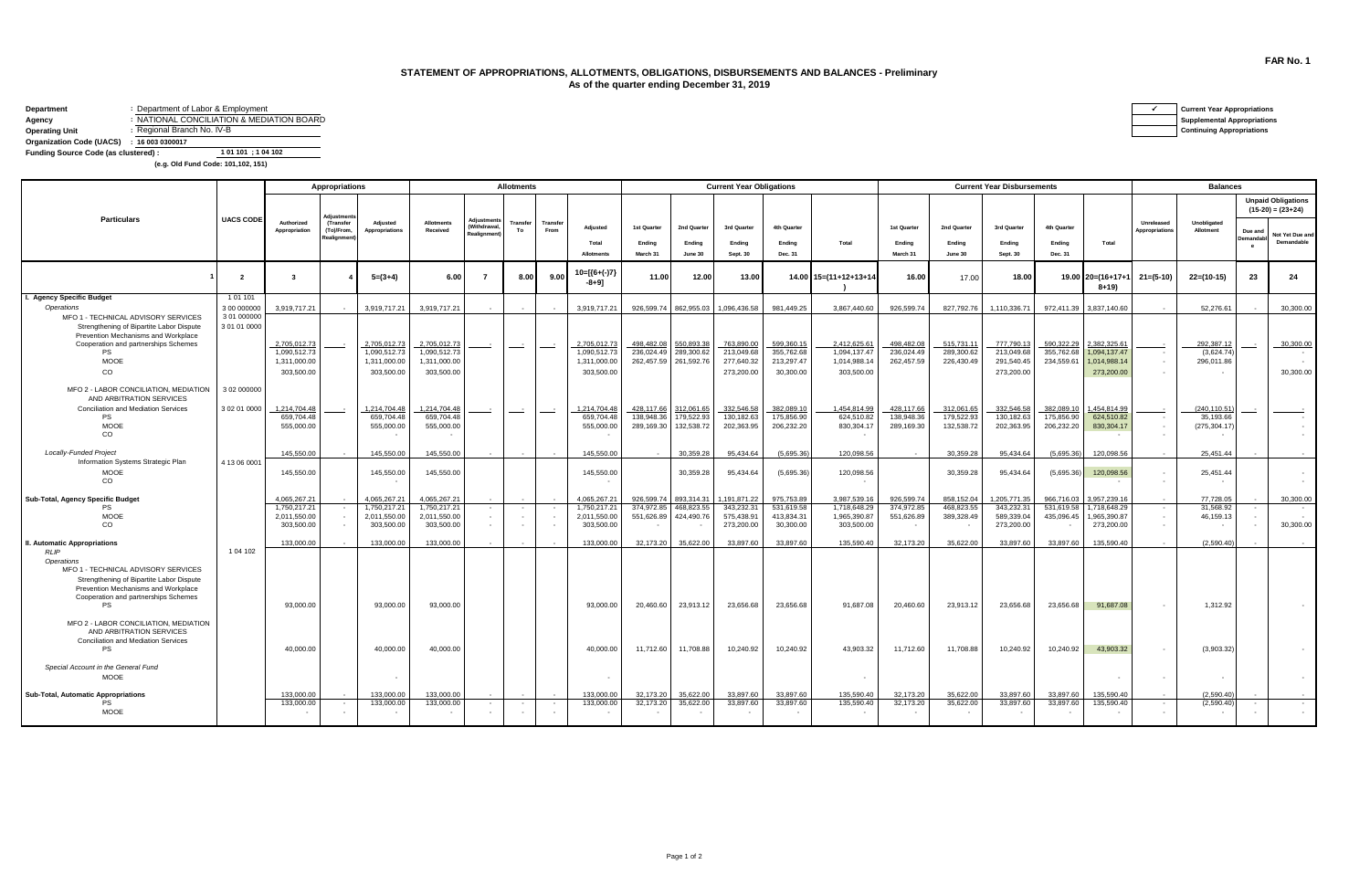## **STATEMENT OF APPROPRIATIONS, ALLOTMENTS, OBLIGATIONS, DISBURSEMENTS AND BALANCES - Preliminary As of the quarter ending December 31, 2019**

| Department                           | : Department of Labor & Employment        | <b>Current Year Appropriations</b> |
|--------------------------------------|-------------------------------------------|------------------------------------|
| Agency                               | : NATIONAL CONCILIATION & MEDIATION BOARD | <b>Supplemental Appropriations</b> |
| <b>Operating Unit</b>                | : Regional Branch No. IV-B                | <b>Continuing Appropriations</b>   |
| Organization Code (UACS)             | : 160030300017                            |                                    |
| Funding Source Code (as clustered) : | 1 01 101 : 1 04 102                       |                                    |

 **(e.g. Old Fund Code: 101,102, 151)**

|                                                                                                                                      |                             |                              | <b>Appropriations</b>               |                            | <b>Allotments</b>             |                                      |                |                  |                              | <b>Current Year Obligations</b> |                          |                        |                          |                              |                          | <b>Current Year Disbursements</b> |                           |                          |                              |                              | <b>Balances</b>          |                                  |                                                  |  |  |
|--------------------------------------------------------------------------------------------------------------------------------------|-----------------------------|------------------------------|-------------------------------------|----------------------------|-------------------------------|--------------------------------------|----------------|------------------|------------------------------|---------------------------------|--------------------------|------------------------|--------------------------|------------------------------|--------------------------|-----------------------------------|---------------------------|--------------------------|------------------------------|------------------------------|--------------------------|----------------------------------|--------------------------------------------------|--|--|
|                                                                                                                                      |                             |                              | <b>Adiustmer</b>                    |                            |                               |                                      |                |                  |                              |                                 |                          |                        |                          |                              |                          |                                   |                           |                          |                              |                              |                          |                                  | <b>Unpaid Obligations</b><br>$(15-20) = (23+24)$ |  |  |
| <b>Particulars</b>                                                                                                                   | <b>UACS CODE</b>            | Authorized<br>Appropriation  | (Transfer<br>(To)/From,<br>ealignme | Adjusted<br>Appropriations | <b>Allotments</b><br>Received | Adjustme<br>(Withdrawa<br>Realignmen | Transfer<br>To | Transfer<br>From | Adjusted<br>Total            | 1st Quarter<br>Ending           | 2nd Quarter<br>Ending    | 3rd Quarter<br>Ending  | 4th Quarter<br>Ending    | Total                        | 1st Quarter<br>Ending    | 2nd Quarter<br>Ending             | 3rd Quarter<br>Ending     | 4th Quarter<br>Ending    | Total                        | Unreleased<br>Appropriations | Unobligated<br>Allotment | Due and<br>Demandabl<br>$\theta$ | Not Yet Due and<br>Demandable                    |  |  |
|                                                                                                                                      |                             |                              |                                     |                            |                               |                                      |                |                  | <b>Allotments</b>            | March 31                        | June 30                  | Sept. 30               | Dec. 31                  |                              | March 31                 | June 30                           | Sept. 30                  | Dec. 31                  |                              |                              |                          |                                  |                                                  |  |  |
|                                                                                                                                      | $\overline{2}$              | ્ર                           |                                     | $5=(3+4)$                  | 6.00                          |                                      | 8.00           | 9.00             | 10=[{6+(-)7]<br>$-8 + 91$    | 11.00                           | 12.00                    | 13.00                  |                          | 14.00 15=(11+12+13+14        | 16.00                    | 17.00                             | 18.00                     |                          | 19.00 20=(16+17+<br>$8+19$   | $21 = (5-10)$                | $22=(10-15)$             | 23                               | 24                                               |  |  |
| I. Agency Specific Budget                                                                                                            | 101101                      |                              |                                     |                            |                               |                                      |                |                  |                              |                                 |                          |                        |                          |                              |                          |                                   |                           |                          |                              |                              |                          |                                  |                                                  |  |  |
| Operations                                                                                                                           | 3 00 000000                 | 3,919,717.21                 |                                     | 3.919.717.21               | 3.919.717.21                  |                                      |                |                  | 3.919.717.21                 | 926,599.74                      | 862.955.03               | 1.096.436.58           | 981.449.25               | 3.867.440.60                 | 926.599.74               | 827,792.76                        | 1.110.336.71              | 972,411.39               | 3.837.140.60                 |                              | 52,276.61                |                                  | 30,300,00                                        |  |  |
| MFO 1 - TECHNICAL ADVISORY SERVICES                                                                                                  | 3 01 000000<br>3 01 01 0000 |                              |                                     |                            |                               |                                      |                |                  |                              |                                 |                          |                        |                          |                              |                          |                                   |                           |                          |                              |                              |                          |                                  |                                                  |  |  |
| Strengthening of Bipartite Labor Dispute<br>Prevention Mechanisms and Workplace                                                      |                             |                              |                                     |                            |                               |                                      |                |                  |                              |                                 |                          |                        |                          |                              |                          |                                   |                           |                          |                              |                              |                          |                                  |                                                  |  |  |
| Cooperation and partnerships Schemes                                                                                                 |                             | 2,705,012.73                 |                                     | 2,705,012.73               | 2,705,012.73                  |                                      |                |                  | 2,705,012.73                 | 498,482.08                      | 550,893.38               | 763,890.0              | 599,360.15               | 2,412,625.61                 | 498,482.08               | 515,731.1                         | 777,790.13                | 590,322.29               | 2,382,325.61                 |                              | 292,387.12               |                                  | 30,300.00                                        |  |  |
| <b>PS</b>                                                                                                                            |                             | 1,090,512.73                 |                                     | 1,090,512.73               | 1,090,512.73                  |                                      |                |                  | 1,090,512.73                 | 236,024.49                      | 289,300.62               | 213,049.68             | 355,762.68               | 1,094,137.47                 | 236,024.49               | 289,300.62                        | 213,049.68                | 355,762.68               | 1,094,137.47                 |                              | (3,624.74)               |                                  |                                                  |  |  |
| <b>MOOE</b>                                                                                                                          |                             | 1,311,000.00                 |                                     | 1,311,000.00               | 1,311,000.00                  |                                      |                |                  | 1,311,000.00                 | 262,457.59                      | 261,592.76               | 277,640.32             | 213,297.47               | 1,014,988.14                 | 262,457.59               | 226,430.49                        | 291,540.45                | 234.559.6                | 1,014,988.14                 |                              | 296,011.86               |                                  |                                                  |  |  |
| co                                                                                                                                   |                             | 303,500.00                   |                                     | 303,500.00                 | 303,500.00                    |                                      |                |                  | 303,500.00                   |                                 |                          | 273,200.00             | 30,300.00                | 303,500.00                   |                          |                                   | 273,200.00                |                          | 273,200.00                   |                              |                          |                                  | 30,300.00                                        |  |  |
| MFO 2 - LABOR CONCILIATION, MEDIATION<br>AND ARBITRATION SERVICES                                                                    | 3 02 000000                 |                              |                                     |                            |                               |                                      |                |                  |                              |                                 |                          |                        |                          |                              |                          |                                   |                           |                          |                              |                              |                          |                                  |                                                  |  |  |
| <b>Conciliation and Mediation Services</b>                                                                                           | 3 02 01 0000                | 1,214,704.48                 |                                     | 1,214,704.48               | 1,214,704.48                  |                                      |                | $\sim$           | 1,214,704.48                 | 428,117.66                      | 312,061.65               | 332,546.5              | 382,089.10               | 1,454,814.99                 | 428,117,66               | 312,061.65                        | 332,546.58                | 382,089.10               | 1,454,814.99                 |                              | (240,110.51              |                                  |                                                  |  |  |
| <b>PS</b>                                                                                                                            |                             | 659,704.48                   |                                     | 659,704.48                 | 659,704.48                    |                                      |                |                  | 659,704.48                   | 138.948.36                      | 179,522.93               | 130.182.63             | 175,856.90               | 624.510.82                   | 138,948,36               | 179.522.93                        | 130.182.63                | 175,856.90               | 624,510.82                   |                              | 35,193.66                |                                  |                                                  |  |  |
| <b>MOOE</b><br>co                                                                                                                    |                             | 555,000.00                   |                                     | 555,000.00                 | 555,000.00                    |                                      |                |                  | 555,000.00                   | 289,169.30                      | 132,538.72               | 202,363.95             | 206,232.20               | 830,304.17                   | 289.169.30               | 132,538.72                        | 202,363.95                | 206,232.20               | 830,304.17                   |                              | (275,304.17              |                                  |                                                  |  |  |
| Locally-Funded Project                                                                                                               |                             | 145,550.00                   |                                     | 145,550,00                 | 145,550,00                    |                                      |                |                  | 145,550.00                   |                                 | 30.359.28                | 95.434.64              | (5.695.36)               | 120.098.56                   |                          | 30.359.28                         | 95.434.64                 | (5.695.36)               | 120.098.56                   |                              | 25.451.44                |                                  |                                                  |  |  |
| Information Systems Strategic Plan                                                                                                   | 4 13 06 0001                |                              |                                     |                            |                               |                                      |                |                  |                              |                                 |                          |                        |                          |                              |                          |                                   |                           |                          |                              |                              |                          |                                  |                                                  |  |  |
| <b>MOOE</b><br>CO                                                                                                                    |                             | 145,550.00                   |                                     | 145,550.00                 | 145,550.00                    |                                      |                |                  | 145,550.00                   |                                 | 30,359.28                | 95,434.64              | (5,695.36)               | 120,098.56                   |                          | 30,359.28                         | 95,434.64                 | (5,695.36)               | 120,098.56                   | $\sim$                       | 25,451.44<br>$\sim$      |                                  |                                                  |  |  |
| Sub-Total, Agency Specific Budget<br><b>PS</b>                                                                                       |                             | 4.065.267.21<br>1,750,217.21 |                                     | 4.065.267.2<br>1,750,217.2 | 4.065.267.21<br>1,750,217.21  |                                      |                |                  | 4.065.267.21<br>1,750,217.21 | 926.599.74<br>374.972.85        | 893.314.31<br>468.823.55 | 191.871.2<br>343,232.3 | 975.753.89<br>531,619.58 | 3.987.539.16<br>1,718,648.29 | 926.599.74<br>374,972.85 | 858.152.0<br>468.823.5            | 1.205.771.35<br>343,232.3 | 966.716.03<br>531.619.58 | 3.957.239.16<br>1,718,648.29 |                              | 77,728.05<br>31,568.92   |                                  | 30,300.00                                        |  |  |
| <b>MOOE</b>                                                                                                                          |                             | 2.011.550.00                 |                                     | 2.011.550.00               | 2,011,550.00                  |                                      |                |                  | 2.011.550.00                 | 551.626.89                      | 424.490.76               | 575.438.9              | 413.834.31               | 1,965,390.87                 | 551,626.89               | 389,328.49                        | 589.339.04                | 435,096.45               | .965.390.87                  | $\sim$                       | 46,159.13                |                                  |                                                  |  |  |
| CO                                                                                                                                   |                             | 303,500.00                   |                                     | 303,500.00                 | 303,500.00                    |                                      | $\sim$         |                  | 303,500.00                   |                                 |                          | 273,200.00             | 30,300.00                | 303,500.00                   |                          |                                   | 273,200.00                |                          | 273,200.00                   | $\sim$                       | $\sim$                   |                                  | 30,300.00                                        |  |  |
| II. Automatic Appropriations                                                                                                         | 1 04 102                    | 133,000,00                   |                                     | 133,000.00                 | 133,000,00                    |                                      |                |                  | 133,000.00                   | 32.173.20                       | 35.622.00                | 33,897.60              | 33.897.60                | 135,590.40                   | 32,173.20                | 35,622.00                         | 33.897.60                 | 33,897.60                | 135.590.40                   |                              | (2.590.40)               |                                  |                                                  |  |  |
| <b>RLIP</b><br>Operations<br>MFO 1 - TECHNICAL ADVISORY SERVICES                                                                     |                             |                              |                                     |                            |                               |                                      |                |                  |                              |                                 |                          |                        |                          |                              |                          |                                   |                           |                          |                              |                              |                          |                                  |                                                  |  |  |
| Strengthening of Bipartite Labor Dispute<br>Prevention Mechanisms and Workplace<br>Cooperation and partnerships Schemes<br><b>PS</b> |                             | 93,000.00                    |                                     | 93,000,00                  | 93,000.00                     |                                      |                |                  | 93,000,00                    | 20,460.60                       | 23,913.12                | 23,656.68              | 23,656.68                | 91,687.08                    | 20,460.60                | 23,913.12                         | 23,656.68                 | 23,656.68                | 91,687.08                    |                              | 1,312.92                 |                                  |                                                  |  |  |
| MFO 2 - LABOR CONCILIATION, MEDIATION<br>AND ARBITRATION SERVICES                                                                    |                             |                              |                                     |                            |                               |                                      |                |                  |                              |                                 |                          |                        |                          |                              |                          |                                   |                           |                          |                              |                              |                          |                                  |                                                  |  |  |
| <b>Conciliation and Mediation Services</b><br>PS                                                                                     |                             | 40.000.00                    |                                     | 40,000,00                  | 40,000.00                     |                                      |                |                  | 40,000,00                    | 11,712.60                       | 11,708.88                | 10,240.92              | 10,240.92                | 43.903.32                    | 11,712.60                | 11,708.88                         | 10,240.92                 | 10,240.92                | 43,903,32                    |                              | (3,903.32)               |                                  |                                                  |  |  |
| Special Account in the General Fund<br><b>MOOE</b>                                                                                   |                             |                              |                                     |                            |                               |                                      |                |                  |                              |                                 |                          |                        |                          |                              |                          |                                   |                           |                          |                              |                              | $\sim$                   |                                  |                                                  |  |  |
| Sub-Total, Automatic Appropriations                                                                                                  |                             | 133,000,00                   |                                     | 133,000.00                 | 133,000.00                    |                                      |                |                  | 133,000,00                   | 32.173.20                       | 35.622.00                | 33,897.60              | 33.897.60                | 135.590.40                   | 32,173,20                | 35,622,00                         | 33,897.60                 | 33,897.60                | 135,590.40                   |                              | (2.590.40)               |                                  |                                                  |  |  |
| <b>PS</b><br>MOOE                                                                                                                    |                             | 133,000,00                   |                                     | 133.000.00                 | 133,000.00                    |                                      |                |                  | 133,000.00                   | 32.173.20                       | 35,622,00                | 33.897.60              | 33,897.60                | 135,590.40                   | 32.173.20                | 35.622.0                          | 33.897.60                 | 33,897.60                | 135.590.40                   |                              | (2.590.40)               |                                  |                                                  |  |  |

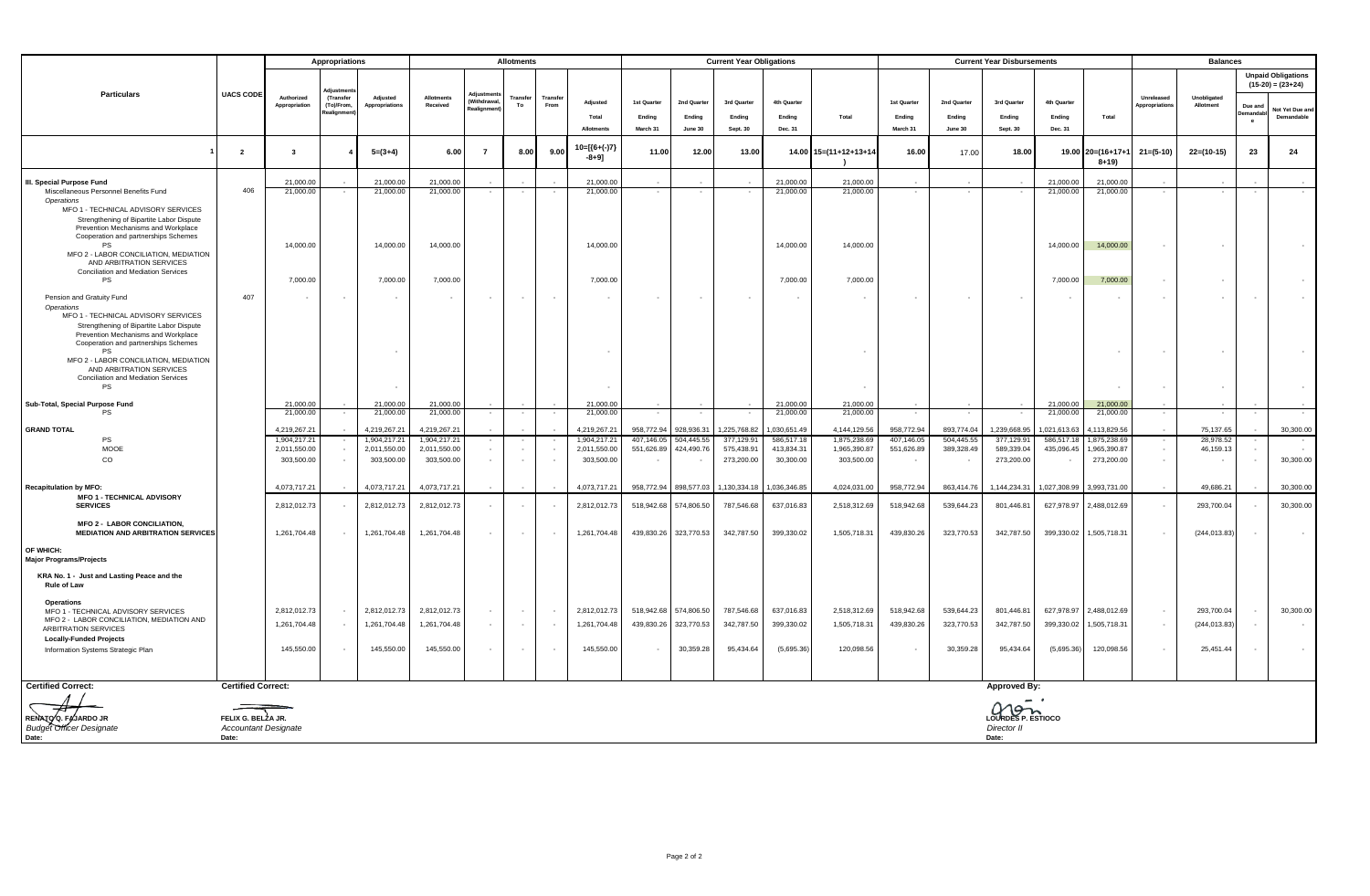|                                                                                  |                             |                             | Appropriations          |                            | <b>Allotments</b>             |                          |                |                 |                              | <b>Current Year Obligations</b> |             |              |                        |                        | <b>Current Year Disbursements</b> |             |                            |                        |                             | <b>Balances</b>              |                          |                     |                                                  |  |
|----------------------------------------------------------------------------------|-----------------------------|-----------------------------|-------------------------|----------------------------|-------------------------------|--------------------------|----------------|-----------------|------------------------------|---------------------------------|-------------|--------------|------------------------|------------------------|-----------------------------------|-------------|----------------------------|------------------------|-----------------------------|------------------------------|--------------------------|---------------------|--------------------------------------------------|--|
|                                                                                  | <b>UACS CODE</b>            |                             | diustm                  |                            |                               |                          |                |                 |                              |                                 |             |              |                        |                        |                                   |             |                            |                        |                             |                              |                          |                     | <b>Unpaid Obligations</b><br>$(15-20) = (23+24)$ |  |
| Particulars                                                                      |                             | Authorized<br>Appropriation | (Transfer<br>(To)/From. | Adiusted<br>Appropriations | <b>Allotments</b><br>Received | Withdrawa                | Transfer<br>To | Transfe<br>From | Adjusted                     | 1st Quarter                     | 2nd Quarter | 3rd Quarter  | 4th Quarter            |                        | 1st Quarter                       | 2nd Quarter | 3rd Quarter                | 4th Quarter            |                             | Unreleased<br>Appropriations | Unobligated<br>Allotment | Due and             | Not Yet Due an                                   |  |
|                                                                                  |                             |                             |                         |                            |                               |                          |                |                 | Total                        | Ending                          | Ending      | Ending       | Ending                 | Total                  | Ending                            | Ending      | Ending                     | Ending                 | Total                       |                              |                          | emanda<br>$\cdot$ e | Demandable                                       |  |
|                                                                                  |                             |                             |                         |                            |                               |                          |                |                 | Allotments                   | March 31                        | June 30     | Sept. 30     | Dec. 31                |                        | March 31                          | June 30     | Sept. 30                   | Dec. 31                |                             |                              |                          |                     |                                                  |  |
|                                                                                  | $\overline{2}$              | $\mathbf{3}$                |                         | $5=(3+4)$                  | 6.00                          | $\overline{7}$           | 8.00           | 9.00            | $10=[(6+(-)7)$<br>$-8 + 9$ ] | 11.00                           | 12.00       | 13.00        |                        | 14.00 15=(11+12+13+14  | 16.00                             | 17.00       | 18.00                      |                        | 19.00 20=(16+17+1<br>$8+19$ | $21 = (5-10)$                | $22=(10-15)$             | 23                  | 24                                               |  |
| III. Special Purpose Fund                                                        |                             | 21,000.00                   |                         | 21,000.00                  | 21,000.00                     |                          |                |                 | 21,000.00                    |                                 |             |              | 21,000.00              | 21,000.00              |                                   |             |                            | 21.000.00              | 21,000.00                   |                              |                          |                     |                                                  |  |
| Miscellaneous Personnel Benefits Fund<br>Operations                              | 406                         | 21,000.00                   |                         | 21,000.00                  | 21,000.00                     | $\sim$                   |                |                 | 21,000.00                    |                                 | $\sim$      |              | 21.000.00              | 21,000.00              | $\sim$                            |             |                            | 21,000.00              | 21,000.00                   |                              |                          |                     |                                                  |  |
| MFO 1 - TECHNICAL ADVISORY SERVICES                                              |                             |                             |                         |                            |                               |                          |                |                 |                              |                                 |             |              |                        |                        |                                   |             |                            |                        |                             |                              |                          |                     |                                                  |  |
| Strengthening of Bipartite Labor Dispute<br>Prevention Mechanisms and Workplace  |                             |                             |                         |                            |                               |                          |                |                 |                              |                                 |             |              |                        |                        |                                   |             |                            |                        |                             |                              |                          |                     |                                                  |  |
| Cooperation and partnerships Schemes                                             |                             |                             |                         |                            |                               |                          |                |                 |                              |                                 |             |              |                        |                        |                                   |             |                            |                        |                             |                              |                          |                     |                                                  |  |
| <b>PS</b><br>MFO 2 - LABOR CONCILIATION, MEDIATION                               |                             | 14,000.00                   |                         | 14,000.00                  | 14,000.00                     |                          |                |                 | 14,000.00                    |                                 |             |              | 14,000.00              | 14,000.00              |                                   |             |                            | 14,000.00              | 14,000.00                   |                              |                          |                     |                                                  |  |
| AND ARBITRATION SERVICES                                                         |                             |                             |                         |                            |                               |                          |                |                 |                              |                                 |             |              |                        |                        |                                   |             |                            |                        |                             |                              |                          |                     |                                                  |  |
| Conciliation and Mediation Services<br>PS                                        |                             | 7,000.00                    |                         | 7,000.00                   | 7,000.00                      |                          |                |                 | 7,000.00                     |                                 |             |              | 7,000.00               | 7,000.00               |                                   |             |                            | 7,000.00               | 7,000.00                    |                              |                          |                     |                                                  |  |
|                                                                                  | 407                         |                             |                         | $\sim$                     | $\sim$                        | $\sim$                   |                | - 40            | $\sim$                       | $\sim$                          | $\sim$      | $\sim$       |                        |                        | $\sim$                            | $\sim$      | $\sim$                     | $\sim$                 |                             | $\sim$                       |                          |                     |                                                  |  |
| Pension and Gratuity Fund<br>Operations                                          |                             |                             |                         |                            |                               |                          |                |                 |                              |                                 |             |              |                        |                        |                                   |             |                            |                        |                             |                              |                          |                     |                                                  |  |
| MFO 1 - TECHNICAL ADVISORY SERVICES                                              |                             |                             |                         |                            |                               |                          |                |                 |                              |                                 |             |              |                        |                        |                                   |             |                            |                        |                             |                              |                          |                     |                                                  |  |
| Strengthening of Bipartite Labor Dispute<br>Prevention Mechanisms and Workplace  |                             |                             |                         |                            |                               |                          |                |                 |                              |                                 |             |              |                        |                        |                                   |             |                            |                        |                             |                              |                          |                     |                                                  |  |
| Cooperation and partnerships Schemes                                             |                             |                             |                         |                            |                               |                          |                |                 |                              |                                 |             |              |                        |                        |                                   |             |                            |                        |                             |                              |                          |                     |                                                  |  |
| PS<br>MFO 2 - LABOR CONCILIATION, MEDIATION                                      |                             |                             |                         |                            |                               |                          |                |                 |                              |                                 |             |              |                        |                        |                                   |             |                            |                        |                             |                              |                          |                     |                                                  |  |
| AND ARBITRATION SERVICES                                                         |                             |                             |                         |                            |                               |                          |                |                 |                              |                                 |             |              |                        |                        |                                   |             |                            |                        |                             |                              |                          |                     |                                                  |  |
| Conciliation and Mediation Services<br>PS                                        |                             |                             |                         |                            |                               |                          |                |                 |                              |                                 |             |              |                        |                        |                                   |             |                            |                        |                             |                              |                          |                     |                                                  |  |
|                                                                                  |                             |                             |                         |                            |                               |                          |                |                 |                              |                                 |             |              |                        |                        |                                   |             |                            |                        |                             |                              |                          |                     |                                                  |  |
| Sub-Total, Special Purpose Fund<br>PS                                            |                             | 21,000.00<br>21,000.00      |                         | 21,000.00<br>21,000.00     | 21,000.00<br>21,000.00        |                          |                |                 | 21,000.00<br>21,000.00       |                                 |             |              | 21,000.00<br>21,000.00 | 21,000.00<br>21,000.00 |                                   |             |                            | 21,000.00<br>21,000.00 | 21,000.00<br>21,000.00      |                              |                          |                     |                                                  |  |
| <b>GRAND TOTAL</b>                                                               |                             | 4,219,267.21                |                         | 4,219,267.2                | 4,219,267.21                  |                          |                |                 | 4,219,267.21                 | 958,772.94                      | 928,936.31  | 1,225,768.82 | ,030,651.49            | 4,144,129.56           | 958,772.94                        | 893,774.04  | 1,239,668.95               | 021,613.63             | 113,829.56                  |                              | 75,137.65                |                     | 30,300.00                                        |  |
| <b>PS</b>                                                                        |                             | 1,904,217.21                |                         | 1,904,217.2                | 1,904,217.21                  |                          |                |                 | 1,904,217.21                 | 407.146.05                      | 504,445.55  | 377,129.9    | 586,517.18             | 1,875,238.69           | 407,146.05                        | 504,445.55  | 377,129.91                 | 586,517.18             | 875,238.69                  |                              | 28.978.52                |                     |                                                  |  |
| MOOE                                                                             |                             | 2,011,550.00                |                         | 2,011,550.00               | 2,011,550.00                  | $\sim$                   |                |                 | 2,011,550.00                 | 551,626.89                      | 424,490.76  | 575,438.91   | 413,834.31             | 1,965,390.87           | 551,626.89                        | 389,328.49  | 589,339.04                 | 435,096.45             | ,965,390.87                 |                              | 46,159.13                |                     |                                                  |  |
| CO                                                                               |                             | 303,500.00                  | ٠.                      | 303,500.00                 | 303,500.00                    | $\sim$                   | $\sim$         |                 | 303,500.00                   |                                 |             | 273,200.00   | 30,300.00              | 303,500.00             |                                   |             | 273,200.00                 |                        | 273,200.00                  | $\sim$                       |                          |                     | 30,300.00                                        |  |
|                                                                                  |                             |                             |                         |                            |                               |                          |                |                 |                              |                                 |             |              |                        |                        |                                   |             |                            |                        |                             |                              |                          |                     |                                                  |  |
| <b>Recapitulation by MFO:</b><br><b>MFO 1 - TECHNICAL ADVISORY</b>               |                             | 4.073.717.21                |                         | 4.073.717.21               | 4,073,717.21                  |                          |                |                 | 4.073.717.21                 | 958,772.94                      | 898,577,03  | 1.130.334.18 | 1.036.346.85           | 4.024.031.00           | 958,772.94                        | 863.414.76  | 1.144.234.31               | 1.027.308.99           | 3,993,731.00                |                              | 49.686.21                |                     | 30,300,00                                        |  |
| <b>SERVICES</b>                                                                  |                             | 2,812,012.73                |                         | 2,812,012.73               | 2,812,012.73                  |                          |                |                 | 2,812,012.73                 | 518,942.68                      | 574,806.50  | 787,546.68   | 637,016.83             | 2,518,312.69           | 518,942.68                        | 539,644.23  | 801,446.81                 | 627,978.97             | 2,488,012.69                |                              | 293,700.04               |                     | 30,300.00                                        |  |
| <b>MFO 2 - LABOR CONCILIATION,</b>                                               |                             |                             |                         |                            |                               |                          |                |                 |                              |                                 |             |              |                        |                        |                                   |             |                            |                        |                             |                              |                          |                     |                                                  |  |
| <b>MEDIATION AND ARBITRATION SERVICES</b>                                        |                             | 1,261,704.48                |                         | 1,261,704.48               | 1,261,704.48                  | $\overline{\phantom{a}}$ |                |                 | 1,261,704.48                 | 439,830.26                      | 323,770.53  | 342,787.50   | 399,330.02             | 1,505,718.31           | 439,830.26                        | 323,770.53  | 342,787.50                 | 399,330.02             | 1,505,718.31                |                              | (244, 013.83)            |                     |                                                  |  |
| OF WHICH:                                                                        |                             |                             |                         |                            |                               |                          |                |                 |                              |                                 |             |              |                        |                        |                                   |             |                            |                        |                             |                              |                          |                     |                                                  |  |
| <b>Major Programs/Projects</b>                                                   |                             |                             |                         |                            |                               |                          |                |                 |                              |                                 |             |              |                        |                        |                                   |             |                            |                        |                             |                              |                          |                     |                                                  |  |
| KRA No. 1 - Just and Lasting Peace and the                                       |                             |                             |                         |                            |                               |                          |                |                 |                              |                                 |             |              |                        |                        |                                   |             |                            |                        |                             |                              |                          |                     |                                                  |  |
| <b>Rule of Law</b>                                                               |                             |                             |                         |                            |                               |                          |                |                 |                              |                                 |             |              |                        |                        |                                   |             |                            |                        |                             |                              |                          |                     |                                                  |  |
| Operations                                                                       |                             |                             |                         |                            |                               |                          |                |                 |                              |                                 |             |              |                        |                        |                                   |             |                            |                        |                             |                              |                          |                     |                                                  |  |
| MFO 1 - TECHNICAL ADVISORY SERVICES<br>MFO 2 - LABOR CONCILIATION, MEDIATION AND |                             | 2,812,012.73                | ٠.                      | 2,812,012.73               | 2,812,012.73                  |                          |                |                 | 2,812,012.73                 | 518,942.68                      | 574,806.50  | 787,546.68   | 637,016.83             | 2,518,312.69           | 518,942.68                        | 539,644.23  | 801,446.81                 | 627,978.97             | 2,488,012.69                |                              | 293,700.04               |                     | 30,300.00                                        |  |
| ARBITRATION SERVICES                                                             |                             | 1,261,704.48                |                         | 1,261,704.48               | 1,261,704.48                  |                          |                |                 | 1,261,704.48                 | 439,830.26                      | 323,770.53  | 342,787.50   | 399,330.02             | 1,505,718.31           | 439,830.26                        | 323,770.53  | 342,787.50                 | 399,330.02             | 1,505,718.31                |                              | (244, 013.83)            |                     |                                                  |  |
| <b>Locally-Funded Projects</b>                                                   |                             | 145,550.00                  | $\sim$                  | 145,550.00                 | 145,550.00                    | $\overline{\phantom{a}}$ |                |                 | 145,550.00                   |                                 | 30,359.28   | 95,434.64    | (5,695.36)             | 120,098.56             | ٠.                                | 30,359.28   | 95,434.64                  | (5,695.36)             | 120,098.56                  |                              | 25,451.44                |                     |                                                  |  |
| Information Systems Strategic Plan                                               |                             |                             |                         |                            |                               |                          |                |                 |                              |                                 |             |              |                        |                        |                                   |             |                            |                        |                             |                              |                          |                     |                                                  |  |
|                                                                                  |                             |                             |                         |                            |                               |                          |                |                 |                              |                                 |             |              |                        |                        |                                   |             |                            |                        |                             |                              |                          |                     |                                                  |  |
| <b>Certified Correct:</b>                                                        | <b>Certified Correct:</b>   |                             |                         |                            |                               |                          |                |                 |                              |                                 |             |              |                        |                        |                                   |             | <b>Approved By:</b>        |                        |                             |                              |                          |                     |                                                  |  |
|                                                                                  |                             |                             |                         |                            |                               |                          |                |                 |                              |                                 |             |              |                        |                        |                                   |             |                            |                        |                             |                              |                          |                     |                                                  |  |
| RENATO Q. FAJARDO JR                                                             | FELIX G. BELZA JR.          |                             |                         |                            |                               |                          |                |                 |                              |                                 |             |              |                        |                        |                                   |             | avon<br>LOURDES P. ESTIOCO |                        |                             |                              |                          |                     |                                                  |  |
| <b>Budget Officer Designate</b>                                                  | <b>Accountant Designate</b> |                             |                         |                            |                               |                          |                |                 |                              |                                 |             |              |                        |                        |                                   |             | Director II                |                        |                             |                              |                          |                     |                                                  |  |
| Date:                                                                            | Date:                       |                             |                         |                            |                               |                          |                |                 |                              |                                 |             |              |                        |                        |                                   |             | Date:                      |                        |                             |                              |                          |                     |                                                  |  |